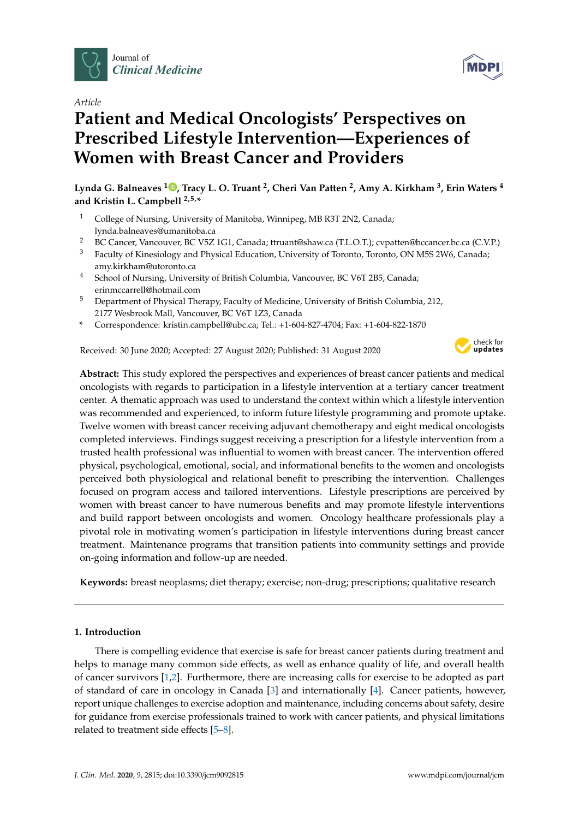

*Article*

# **Patient and Medical Oncologists' Perspectives on Prescribed Lifestyle Intervention—Experiences of Women with Breast Cancer and Providers**

**Lynda G. Balneaves <sup>1</sup> [,](https://orcid.org/0000-0002-6535-2096) Tracy L. O. Truant <sup>2</sup> , Cheri Van Patten <sup>2</sup> , Amy A. Kirkham <sup>3</sup> , Erin Waters <sup>4</sup> and Kristin L. Campbell 2,5,\***

- <sup>1</sup> College of Nursing, University of Manitoba, Winnipeg, MB R3T 2N2, Canada; lynda.balneaves@umanitoba.ca
- <sup>2</sup> BC Cancer, Vancouver, BC V5Z 1G1, Canada; ttruant@shaw.ca (T.L.O.T.); cvpatten@bccancer.bc.ca (C.V.P.)
- <sup>3</sup> Faculty of Kinesiology and Physical Education, University of Toronto, Toronto, ON M5S 2W6, Canada; amy.kirkham@utoronto.ca
- <sup>4</sup> School of Nursing, University of British Columbia, Vancouver, BC V6T 2B5, Canada; erinmccarrell@hotmail.com
- <sup>5</sup> Department of Physical Therapy, Faculty of Medicine, University of British Columbia, 212, 2177 Wesbrook Mall, Vancouver, BC V6T 1Z3, Canada
- **\*** Correspondence: kristin.campbell@ubc.ca; Tel.: +1-604-827-4704; Fax: +1-604-822-1870

Received: 30 June 2020; Accepted: 27 August 2020; Published: 31 August 2020



**MDP** 

**Abstract:** This study explored the perspectives and experiences of breast cancer patients and medical oncologists with regards to participation in a lifestyle intervention at a tertiary cancer treatment center. A thematic approach was used to understand the context within which a lifestyle intervention was recommended and experienced, to inform future lifestyle programming and promote uptake. Twelve women with breast cancer receiving adjuvant chemotherapy and eight medical oncologists completed interviews. Findings suggest receiving a prescription for a lifestyle intervention from a trusted health professional was influential to women with breast cancer. The intervention offered physical, psychological, emotional, social, and informational benefits to the women and oncologists perceived both physiological and relational benefit to prescribing the intervention. Challenges focused on program access and tailored interventions. Lifestyle prescriptions are perceived by women with breast cancer to have numerous benefits and may promote lifestyle interventions and build rapport between oncologists and women. Oncology healthcare professionals play a pivotal role in motivating women's participation in lifestyle interventions during breast cancer treatment. Maintenance programs that transition patients into community settings and provide on-going information and follow-up are needed.

**Keywords:** breast neoplasms; diet therapy; exercise; non-drug; prescriptions; qualitative research

# **1. Introduction**

There is compelling evidence that exercise is safe for breast cancer patients during treatment and helps to manage many common side effects, as well as enhance quality of life, and overall health of cancer survivors [\[1,](#page-9-0)[2\]](#page-10-0). Furthermore, there are increasing calls for exercise to be adopted as part of standard of care in oncology in Canada [\[3\]](#page-10-1) and internationally [\[4\]](#page-10-2). Cancer patients, however, report unique challenges to exercise adoption and maintenance, including concerns about safety, desire for guidance from exercise professionals trained to work with cancer patients, and physical limitations related to treatment side effects [\[5–](#page-10-3)[8\]](#page-10-4).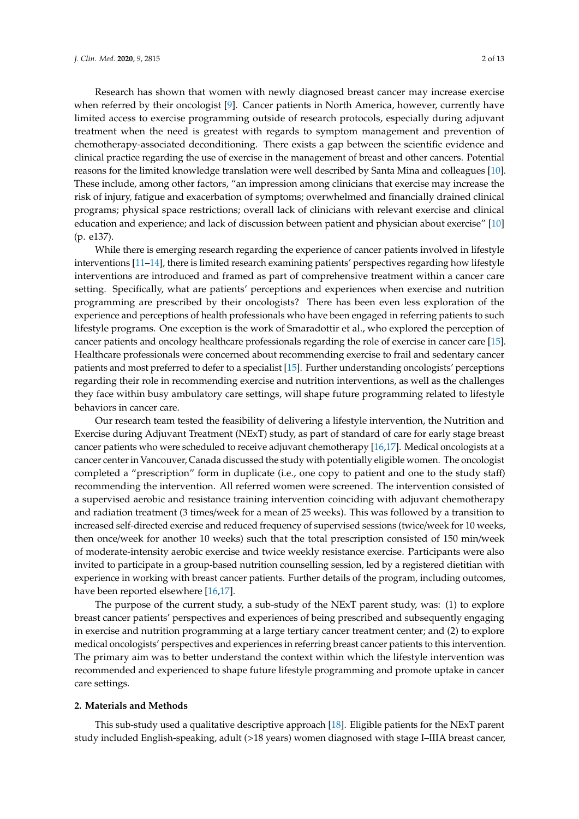Research has shown that women with newly diagnosed breast cancer may increase exercise when referred by their oncologist [\[9\]](#page-10-5). Cancer patients in North America, however, currently have limited access to exercise programming outside of research protocols, especially during adjuvant treatment when the need is greatest with regards to symptom management and prevention of chemotherapy-associated deconditioning. There exists a gap between the scientific evidence and clinical practice regarding the use of exercise in the management of breast and other cancers. Potential reasons for the limited knowledge translation were well described by Santa Mina and colleagues [\[10\]](#page-10-6). These include, among other factors, "an impression among clinicians that exercise may increase the risk of injury, fatigue and exacerbation of symptoms; overwhelmed and financially drained clinical programs; physical space restrictions; overall lack of clinicians with relevant exercise and clinical education and experience; and lack of discussion between patient and physician about exercise" [\[10\]](#page-10-6) (p. e137).

While there is emerging research regarding the experience of cancer patients involved in lifestyle interventions [\[11](#page-10-7)[–14\]](#page-10-8), there is limited research examining patients' perspectives regarding how lifestyle interventions are introduced and framed as part of comprehensive treatment within a cancer care setting. Specifically, what are patients' perceptions and experiences when exercise and nutrition programming are prescribed by their oncologists? There has been even less exploration of the experience and perceptions of health professionals who have been engaged in referring patients to such lifestyle programs. One exception is the work of Smaradottir et al., who explored the perception of cancer patients and oncology healthcare professionals regarding the role of exercise in cancer care [\[15\]](#page-10-9). Healthcare professionals were concerned about recommending exercise to frail and sedentary cancer patients and most preferred to defer to a specialist [\[15\]](#page-10-9). Further understanding oncologists' perceptions regarding their role in recommending exercise and nutrition interventions, as well as the challenges they face within busy ambulatory care settings, will shape future programming related to lifestyle behaviors in cancer care.

Our research team tested the feasibility of delivering a lifestyle intervention, the Nutrition and Exercise during Adjuvant Treatment (NExT) study, as part of standard of care for early stage breast cancer patients who were scheduled to receive adjuvant chemotherapy [\[16,](#page-10-10)[17\]](#page-10-11). Medical oncologists at a cancer center in Vancouver, Canada discussed the study with potentially eligible women. The oncologist completed a "prescription" form in duplicate (i.e., one copy to patient and one to the study staff) recommending the intervention. All referred women were screened. The intervention consisted of a supervised aerobic and resistance training intervention coinciding with adjuvant chemotherapy and radiation treatment (3 times/week for a mean of 25 weeks). This was followed by a transition to increased self-directed exercise and reduced frequency of supervised sessions (twice/week for 10 weeks, then once/week for another 10 weeks) such that the total prescription consisted of 150 min/week of moderate-intensity aerobic exercise and twice weekly resistance exercise. Participants were also invited to participate in a group-based nutrition counselling session, led by a registered dietitian with experience in working with breast cancer patients. Further details of the program, including outcomes, have been reported elsewhere [\[16](#page-10-10)[,17\]](#page-10-11).

The purpose of the current study, a sub-study of the NExT parent study, was: (1) to explore breast cancer patients' perspectives and experiences of being prescribed and subsequently engaging in exercise and nutrition programming at a large tertiary cancer treatment center; and (2) to explore medical oncologists' perspectives and experiences in referring breast cancer patients to this intervention. The primary aim was to better understand the context within which the lifestyle intervention was recommended and experienced to shape future lifestyle programming and promote uptake in cancer care settings.

#### **2. Materials and Methods**

This sub-study used a qualitative descriptive approach [\[18\]](#page-10-12). Eligible patients for the NExT parent study included English-speaking, adult (>18 years) women diagnosed with stage I–IIIA breast cancer,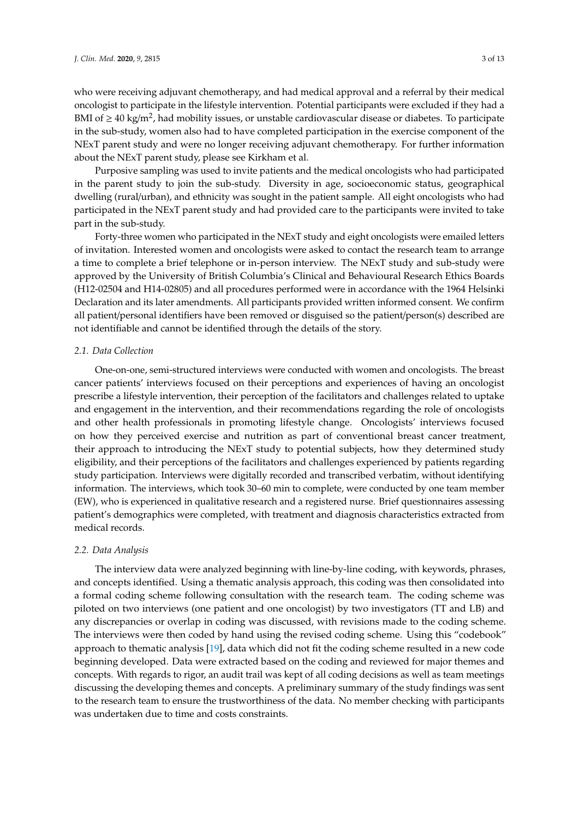who were receiving adjuvant chemotherapy, and had medical approval and a referral by their medical oncologist to participate in the lifestyle intervention. Potential participants were excluded if they had a BMI of  $\geq 40$  kg/m<sup>2</sup>, had mobility issues, or unstable cardiovascular disease or diabetes. To participate in the sub-study, women also had to have completed participation in the exercise component of the NExT parent study and were no longer receiving adjuvant chemotherapy. For further information about the NExT parent study, please see Kirkham et al.

Purposive sampling was used to invite patients and the medical oncologists who had participated in the parent study to join the sub-study. Diversity in age, socioeconomic status, geographical dwelling (rural/urban), and ethnicity was sought in the patient sample. All eight oncologists who had participated in the NExT parent study and had provided care to the participants were invited to take part in the sub-study.

Forty-three women who participated in the NExT study and eight oncologists were emailed letters of invitation. Interested women and oncologists were asked to contact the research team to arrange a time to complete a brief telephone or in-person interview. The NExT study and sub-study were approved by the University of British Columbia's Clinical and Behavioural Research Ethics Boards (H12-02504 and H14-02805) and all procedures performed were in accordance with the 1964 Helsinki Declaration and its later amendments. All participants provided written informed consent. We confirm all patient/personal identifiers have been removed or disguised so the patient/person(s) described are not identifiable and cannot be identified through the details of the story.

#### *2.1. Data Collection*

One-on-one, semi-structured interviews were conducted with women and oncologists. The breast cancer patients' interviews focused on their perceptions and experiences of having an oncologist prescribe a lifestyle intervention, their perception of the facilitators and challenges related to uptake and engagement in the intervention, and their recommendations regarding the role of oncologists and other health professionals in promoting lifestyle change. Oncologists' interviews focused on how they perceived exercise and nutrition as part of conventional breast cancer treatment, their approach to introducing the NExT study to potential subjects, how they determined study eligibility, and their perceptions of the facilitators and challenges experienced by patients regarding study participation. Interviews were digitally recorded and transcribed verbatim, without identifying information. The interviews, which took 30–60 min to complete, were conducted by one team member (EW), who is experienced in qualitative research and a registered nurse. Brief questionnaires assessing patient's demographics were completed, with treatment and diagnosis characteristics extracted from medical records.

#### *2.2. Data Analysis*

The interview data were analyzed beginning with line-by-line coding, with keywords, phrases, and concepts identified. Using a thematic analysis approach, this coding was then consolidated into a formal coding scheme following consultation with the research team. The coding scheme was piloted on two interviews (one patient and one oncologist) by two investigators (TT and LB) and any discrepancies or overlap in coding was discussed, with revisions made to the coding scheme. The interviews were then coded by hand using the revised coding scheme. Using this "codebook" approach to thematic analysis [\[19\]](#page-10-13), data which did not fit the coding scheme resulted in a new code beginning developed. Data were extracted based on the coding and reviewed for major themes and concepts. With regards to rigor, an audit trail was kept of all coding decisions as well as team meetings discussing the developing themes and concepts. A preliminary summary of the study findings was sent to the research team to ensure the trustworthiness of the data. No member checking with participants was undertaken due to time and costs constraints.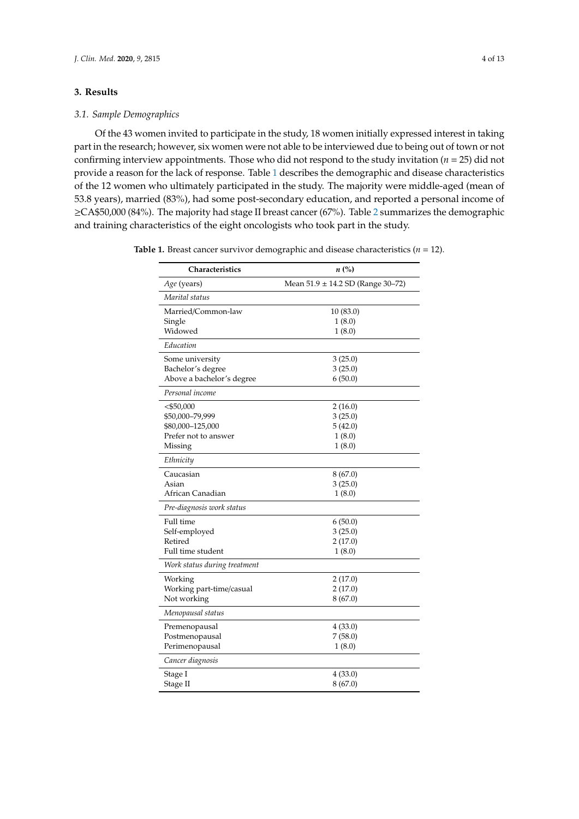# **3. Results**

#### *3.1. Sample Demographics*

Of the 43 women invited to participate in the study, 18 women initially expressed interest in taking part in the research; however, six women were not able to be interviewed due to being out of town or not confirming interview appointments. Those who did not respond to the study invitation (*n* = 25) did not provide a reason for the lack of response. Table [1](#page-3-0) describes the demographic and disease characteristics of the 12 women who ultimately participated in the study. The majority were middle-aged (mean of 53.8 years), married (83%), had some post-secondary education, and reported a personal income of ≥CA\$50,000 (84%). The majority had stage II breast cancer (67%). Table [2](#page-4-0) summarizes the demographic and training characteristics of the eight oncologists who took part in the study.

<span id="page-3-0"></span>**Table 1.** Breast cancer survivor demographic and disease characteristics  $(n = 12)$ .

| Characteristics              | $n\left(\%\right)$                    |  |
|------------------------------|---------------------------------------|--|
| Age (years)                  | Mean $51.9 \pm 14.2$ SD (Range 30-72) |  |
| Marital status               |                                       |  |
| Married/Common-law           | 10(83.0)                              |  |
| Single                       | 1(8.0)                                |  |
| Widowed                      | 1(8.0)                                |  |
| Education                    |                                       |  |
| Some university              | 3(25.0)                               |  |
| Bachelor's degree            | 3(25.0)                               |  |
| Above a bachelor's degree    | 6(50.0)                               |  |
| Personal income              |                                       |  |
| $<$ \$50,000                 | 2(16.0)                               |  |
| \$50,000-79,999              | 3(25.0)                               |  |
| \$80,000-125,000             | 5(42.0)                               |  |
| Prefer not to answer         | 1(8.0)                                |  |
| Missing                      | 1(8.0)                                |  |
| Ethnicity                    |                                       |  |
| Caucasian                    | 8(67.0)                               |  |
| Asian                        | 3(25.0)                               |  |
| African Canadian             | 1(8.0)                                |  |
| Pre-diagnosis work status    |                                       |  |
| Full time                    | 6(50.0)                               |  |
| Self-employed                | 3(25.0)                               |  |
| Retired                      | 2(17.0)                               |  |
| Full time student            | 1(8.0)                                |  |
| Work status during treatment |                                       |  |
| Working                      | 2(17.0)                               |  |
| Working part-time/casual     | 2(17.0)                               |  |
| Not working                  | 8(67.0)                               |  |
| Menopausal status            |                                       |  |
| Premenopausal                | 4(33.0)                               |  |
| Postmenopausal               | 7(58.0)                               |  |
| Perimenopausal               | 1(8.0)                                |  |
| Cancer diagnosis             |                                       |  |
| Stage I                      | 4 (33.0)                              |  |
| Stage II                     | 8(67.0)                               |  |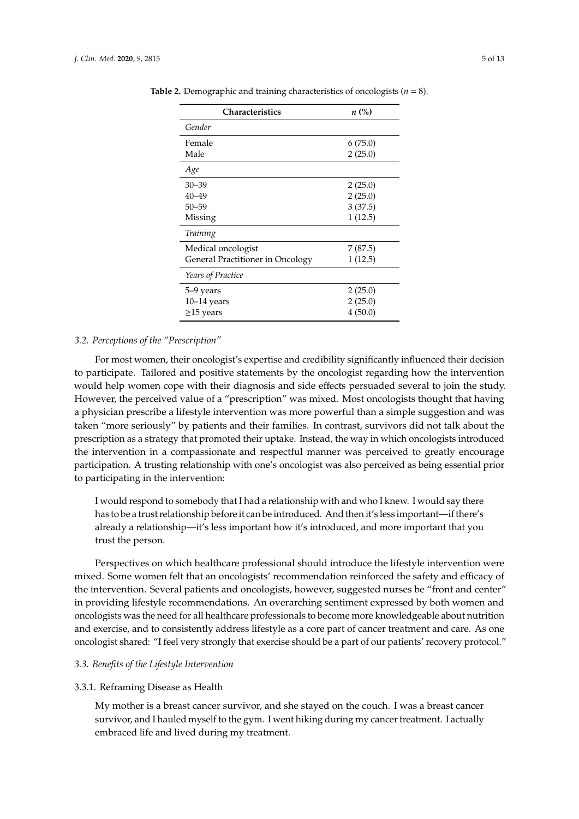| <b>Characteristics</b>           | $n\ (\%)$ |
|----------------------------------|-----------|
| Gender                           |           |
| Female                           | 6(75.0)   |
| Male                             | 2(25.0)   |
| Age                              |           |
| $30 - 39$                        | 2(25.0)   |
| $40 - 49$                        | 2(25.0)   |
| $50 - 59$                        | 3(37.5)   |
| Missing                          | 1(12.5)   |
| Training                         |           |
| Medical oncologist               | 7(87.5)   |
| General Practitioner in Oncology | 1(12.5)   |
| <b>Years of Practice</b>         |           |
| 5-9 years                        | 2(25.0)   |
| $10-14$ years                    | 2(25.0)   |
| $\geq$ 15 years                  | 4(50.0)   |

<span id="page-4-0"></span>**Table 2.** Demographic and training characteristics of oncologists (*n* = 8).

#### *3.2. Perceptions of the "Prescription"*

For most women, their oncologist's expertise and credibility significantly influenced their decision to participate. Tailored and positive statements by the oncologist regarding how the intervention would help women cope with their diagnosis and side effects persuaded several to join the study. However, the perceived value of a "prescription" was mixed. Most oncologists thought that having a physician prescribe a lifestyle intervention was more powerful than a simple suggestion and was taken "more seriously" by patients and their families. In contrast, survivors did not talk about the prescription as a strategy that promoted their uptake. Instead, the way in which oncologists introduced the intervention in a compassionate and respectful manner was perceived to greatly encourage participation. A trusting relationship with one's oncologist was also perceived as being essential prior to participating in the intervention:

I would respond to somebody that I had a relationship with and who I knew. I would say there has to be a trust relationship before it can be introduced. And then it's less important—if there's already a relationship—it's less important how it's introduced, and more important that you trust the person.

Perspectives on which healthcare professional should introduce the lifestyle intervention were mixed. Some women felt that an oncologists' recommendation reinforced the safety and efficacy of the intervention. Several patients and oncologists, however, suggested nurses be "front and center" in providing lifestyle recommendations. An overarching sentiment expressed by both women and oncologists was the need for all healthcare professionals to become more knowledgeable about nutrition and exercise, and to consistently address lifestyle as a core part of cancer treatment and care. As one oncologist shared: "I feel very strongly that exercise should be a part of our patients' recovery protocol."

#### *3.3. Benefits of the Lifestyle Intervention*

#### 3.3.1. Reframing Disease as Health

My mother is a breast cancer survivor, and she stayed on the couch. I was a breast cancer survivor, and I hauled myself to the gym. I went hiking during my cancer treatment. I actually embraced life and lived during my treatment.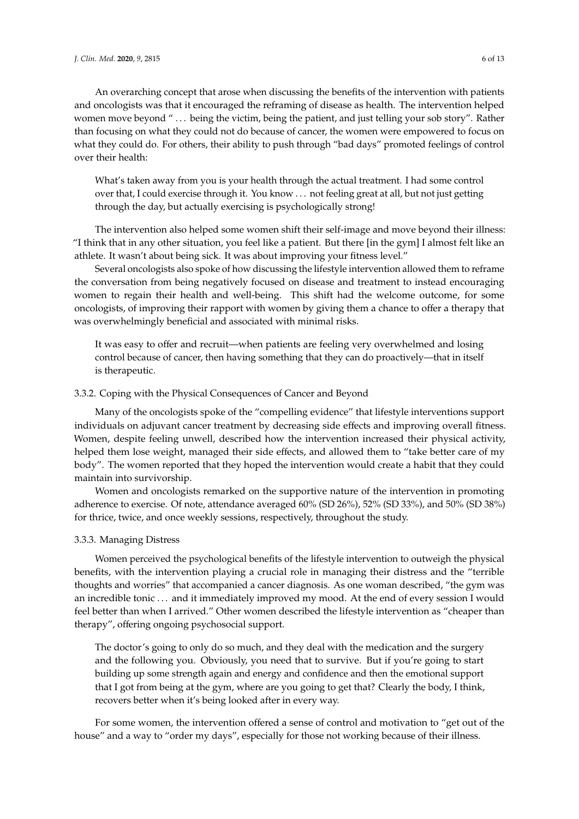than focusing on what they could not do because of cancer, the women were empowered to focus on what they could do. For others, their ability to push through "bad days" promoted feelings of control over their health:

What's taken away from you is your health through the actual treatment. I had some control over that, I could exercise through it. You know . . . not feeling great at all, but not just getting through the day, but actually exercising is psychologically strong!

The intervention also helped some women shift their self-image and move beyond their illness: "I think that in any other situation, you feel like a patient. But there [in the gym] I almost felt like an athlete. It wasn't about being sick. It was about improving your fitness level."

Several oncologists also spoke of how discussing the lifestyle intervention allowed them to reframe the conversation from being negatively focused on disease and treatment to instead encouraging women to regain their health and well-being. This shift had the welcome outcome, for some oncologists, of improving their rapport with women by giving them a chance to offer a therapy that was overwhelmingly beneficial and associated with minimal risks.

It was easy to offer and recruit—when patients are feeling very overwhelmed and losing control because of cancer, then having something that they can do proactively—that in itself is therapeutic.

#### 3.3.2. Coping with the Physical Consequences of Cancer and Beyond

Many of the oncologists spoke of the "compelling evidence" that lifestyle interventions support individuals on adjuvant cancer treatment by decreasing side effects and improving overall fitness. Women, despite feeling unwell, described how the intervention increased their physical activity, helped them lose weight, managed their side effects, and allowed them to "take better care of my body". The women reported that they hoped the intervention would create a habit that they could maintain into survivorship.

Women and oncologists remarked on the supportive nature of the intervention in promoting adherence to exercise. Of note, attendance averaged 60% (SD 26%), 52% (SD 33%), and 50% (SD 38%) for thrice, twice, and once weekly sessions, respectively, throughout the study.

#### 3.3.3. Managing Distress

Women perceived the psychological benefits of the lifestyle intervention to outweigh the physical benefits, with the intervention playing a crucial role in managing their distress and the "terrible thoughts and worries" that accompanied a cancer diagnosis. As one woman described, "the gym was an incredible tonic . . . and it immediately improved my mood. At the end of every session I would feel better than when I arrived." Other women described the lifestyle intervention as "cheaper than therapy", offering ongoing psychosocial support.

The doctor's going to only do so much, and they deal with the medication and the surgery and the following you. Obviously, you need that to survive. But if you're going to start building up some strength again and energy and confidence and then the emotional support that I got from being at the gym, where are you going to get that? Clearly the body, I think, recovers better when it's being looked after in every way.

For some women, the intervention offered a sense of control and motivation to "get out of the house" and a way to "order my days", especially for those not working because of their illness.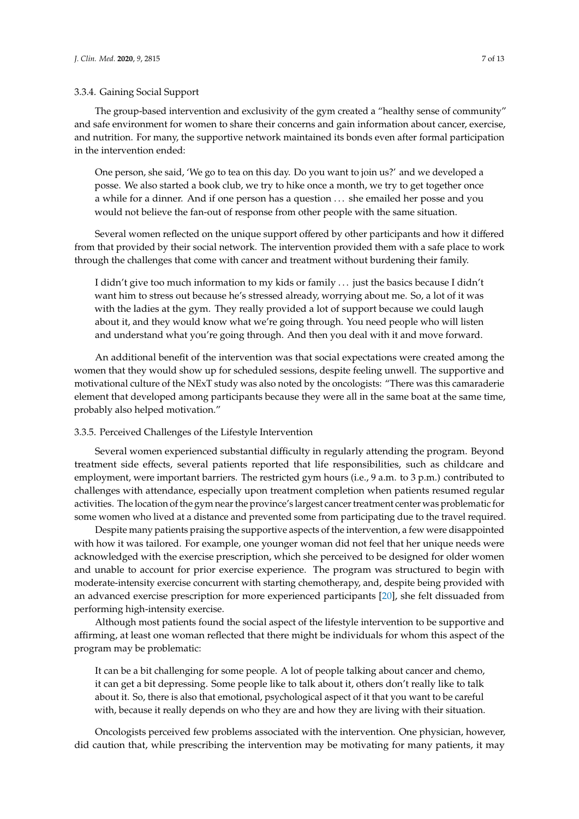#### 3.3.4. Gaining Social Support

The group-based intervention and exclusivity of the gym created a "healthy sense of community" and safe environment for women to share their concerns and gain information about cancer, exercise, and nutrition. For many, the supportive network maintained its bonds even after formal participation in the intervention ended:

One person, she said, 'We go to tea on this day. Do you want to join us?' and we developed a posse. We also started a book club, we try to hike once a month, we try to get together once a while for a dinner. And if one person has a question . . . she emailed her posse and you would not believe the fan-out of response from other people with the same situation.

Several women reflected on the unique support offered by other participants and how it differed from that provided by their social network. The intervention provided them with a safe place to work through the challenges that come with cancer and treatment without burdening their family.

I didn't give too much information to my kids or family . . . just the basics because I didn't want him to stress out because he's stressed already, worrying about me. So, a lot of it was with the ladies at the gym. They really provided a lot of support because we could laugh about it, and they would know what we're going through. You need people who will listen and understand what you're going through. And then you deal with it and move forward.

An additional benefit of the intervention was that social expectations were created among the women that they would show up for scheduled sessions, despite feeling unwell. The supportive and motivational culture of the NExT study was also noted by the oncologists: "There was this camaraderie element that developed among participants because they were all in the same boat at the same time, probably also helped motivation."

#### 3.3.5. Perceived Challenges of the Lifestyle Intervention

Several women experienced substantial difficulty in regularly attending the program. Beyond treatment side effects, several patients reported that life responsibilities, such as childcare and employment, were important barriers. The restricted gym hours (i.e., 9 a.m. to 3 p.m.) contributed to challenges with attendance, especially upon treatment completion when patients resumed regular activities. The location of the gym near the province's largest cancer treatment center was problematic for some women who lived at a distance and prevented some from participating due to the travel required.

Despite many patients praising the supportive aspects of the intervention, a few were disappointed with how it was tailored. For example, one younger woman did not feel that her unique needs were acknowledged with the exercise prescription, which she perceived to be designed for older women and unable to account for prior exercise experience. The program was structured to begin with moderate-intensity exercise concurrent with starting chemotherapy, and, despite being provided with an advanced exercise prescription for more experienced participants [\[20\]](#page-11-0), she felt dissuaded from performing high-intensity exercise.

Although most patients found the social aspect of the lifestyle intervention to be supportive and affirming, at least one woman reflected that there might be individuals for whom this aspect of the program may be problematic:

It can be a bit challenging for some people. A lot of people talking about cancer and chemo, it can get a bit depressing. Some people like to talk about it, others don't really like to talk about it. So, there is also that emotional, psychological aspect of it that you want to be careful with, because it really depends on who they are and how they are living with their situation.

Oncologists perceived few problems associated with the intervention. One physician, however, did caution that, while prescribing the intervention may be motivating for many patients, it may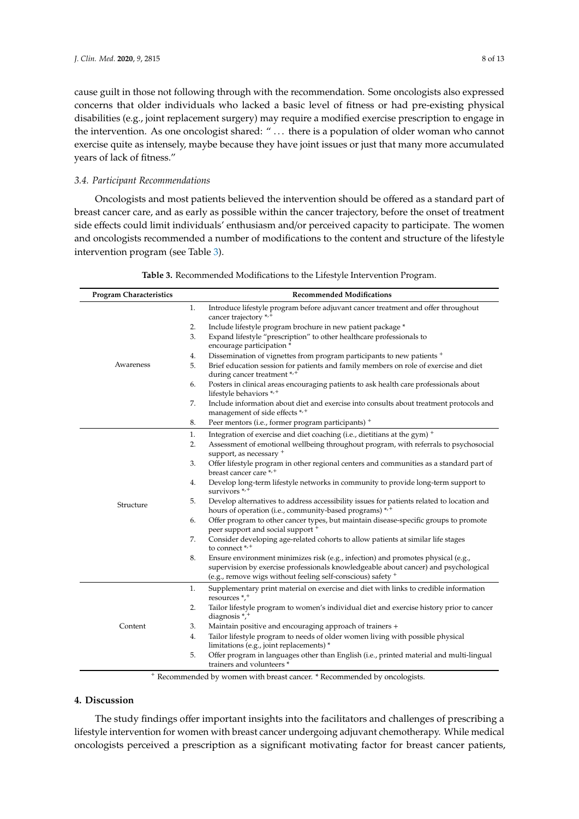cause guilt in those not following through with the recommendation. Some oncologists also expressed concerns that older individuals who lacked a basic level of fitness or had pre-existing physical disabilities (e.g., joint replacement surgery) may require a modified exercise prescription to engage in the intervention. As one oncologist shared: " ... there is a population of older woman who cannot exercise quite as intensely, maybe because they have joint issues or just that many more accumulated years of lack of fitness."

## *3.4. Participant Recommendations*

Oncologists and most patients believed the intervention should be offered as a standard part of breast cancer care, and as early as possible within the cancer trajectory, before the onset of treatment side effects could limit individuals' enthusiasm and/or perceived capacity to participate. The women and oncologists recommended a number of modifications to the content and structure of the lifestyle intervention program (see Table [3\)](#page-7-0).

<span id="page-7-0"></span>

| <b>Program Characteristics</b> |    | <b>Recommended Modifications</b>                                                                                                                                                                                                       |  |
|--------------------------------|----|----------------------------------------------------------------------------------------------------------------------------------------------------------------------------------------------------------------------------------------|--|
| Awareness                      | 1. | Introduce lifestyle program before adjuvant cancer treatment and offer throughout<br>cancer trajectory */+                                                                                                                             |  |
|                                | 2. | Include lifestyle program brochure in new patient package *                                                                                                                                                                            |  |
|                                | 3. | Expand lifestyle "prescription" to other healthcare professionals to<br>encourage participation *                                                                                                                                      |  |
|                                | 4. | Dissemination of vignettes from program participants to new patients <sup>+</sup>                                                                                                                                                      |  |
|                                | 5. | Brief education session for patients and family members on role of exercise and diet<br>during cancer treatment */+                                                                                                                    |  |
|                                | 6. | Posters in clinical areas encouraging patients to ask health care professionals about<br>lifestyle behaviors */+                                                                                                                       |  |
|                                | 7. | Include information about diet and exercise into consults about treatment protocols and<br>management of side effects */+                                                                                                              |  |
|                                | 8. | Peer mentors (i.e., former program participants) <sup>+</sup>                                                                                                                                                                          |  |
| Structure                      | 1. | Integration of exercise and diet coaching (i.e., dietitians at the gym) <sup>+</sup>                                                                                                                                                   |  |
|                                | 2. | Assessment of emotional wellbeing throughout program, with referrals to psychosocial<br>support, as necessary +                                                                                                                        |  |
|                                | 3. | Offer lifestyle program in other regional centers and communities as a standard part of<br>breast cancer care */+                                                                                                                      |  |
|                                | 4. | Develop long-term lifestyle networks in community to provide long-term support to<br>survivors $*$ <sup>+</sup>                                                                                                                        |  |
|                                | 5. | Develop alternatives to address accessibility issues for patients related to location and<br>hours of operation (i.e., community-based programs) */*                                                                                   |  |
|                                | 6. | Offer program to other cancer types, but maintain disease-specific groups to promote<br>peer support and social support <sup>+</sup>                                                                                                   |  |
|                                | 7. | Consider developing age-related cohorts to allow patients at similar life stages<br>to connect */+                                                                                                                                     |  |
|                                | 8. | Ensure environment minimizes risk (e.g., infection) and promotes physical (e.g.,<br>supervision by exercise professionals knowledgeable about cancer) and psychological<br>(e.g., remove wigs without feeling self-conscious) safety + |  |
| Content                        | 1. | Supplementary print material on exercise and diet with links to credible information<br>resources <sup>*,*</sup>                                                                                                                       |  |
|                                | 2. | Tailor lifestyle program to women's individual diet and exercise history prior to cancer<br>diagnosis *,*                                                                                                                              |  |
|                                | 3. | Maintain positive and encouraging approach of trainers +                                                                                                                                                                               |  |
|                                | 4. | Tailor lifestyle program to needs of older women living with possible physical<br>limitations (e.g., joint replacements) *                                                                                                             |  |
|                                | 5. | Offer program in languages other than English (i.e., printed material and multi-lingual<br>trainers and volunteers *                                                                                                                   |  |

<sup>+</sup> Recommended by women with breast cancer. \* Recommended by oncologists.

## **4. Discussion**

The study findings offer important insights into the facilitators and challenges of prescribing a lifestyle intervention for women with breast cancer undergoing adjuvant chemotherapy. While medical oncologists perceived a prescription as a significant motivating factor for breast cancer patients,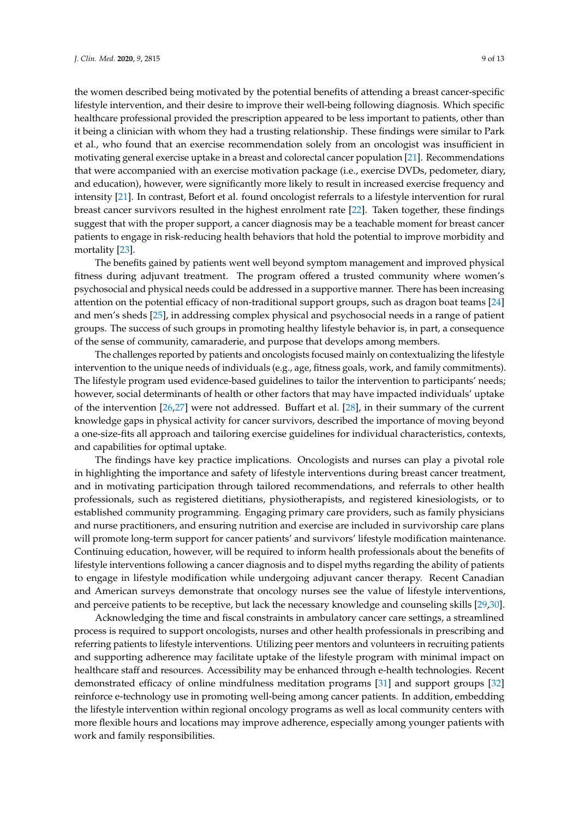the women described being motivated by the potential benefits of attending a breast cancer-specific lifestyle intervention, and their desire to improve their well-being following diagnosis. Which specific healthcare professional provided the prescription appeared to be less important to patients, other than it being a clinician with whom they had a trusting relationship. These findings were similar to Park et al., who found that an exercise recommendation solely from an oncologist was insufficient in motivating general exercise uptake in a breast and colorectal cancer population [\[21\]](#page-11-1). Recommendations that were accompanied with an exercise motivation package (i.e., exercise DVDs, pedometer, diary, and education), however, were significantly more likely to result in increased exercise frequency and intensity [\[21\]](#page-11-1). In contrast, Befort et al. found oncologist referrals to a lifestyle intervention for rural breast cancer survivors resulted in the highest enrolment rate [\[22\]](#page-11-2). Taken together, these findings suggest that with the proper support, a cancer diagnosis may be a teachable moment for breast cancer patients to engage in risk-reducing health behaviors that hold the potential to improve morbidity and mortality [\[23\]](#page-11-3).

The benefits gained by patients went well beyond symptom management and improved physical fitness during adjuvant treatment. The program offered a trusted community where women's psychosocial and physical needs could be addressed in a supportive manner. There has been increasing attention on the potential efficacy of non-traditional support groups, such as dragon boat teams [\[24\]](#page-11-4) and men's sheds [\[25\]](#page-11-5), in addressing complex physical and psychosocial needs in a range of patient groups. The success of such groups in promoting healthy lifestyle behavior is, in part, a consequence of the sense of community, camaraderie, and purpose that develops among members.

The challenges reported by patients and oncologists focused mainly on contextualizing the lifestyle intervention to the unique needs of individuals (e.g., age, fitness goals, work, and family commitments). The lifestyle program used evidence-based guidelines to tailor the intervention to participants' needs; however, social determinants of health or other factors that may have impacted individuals' uptake of the intervention [\[26](#page-11-6)[,27\]](#page-11-7) were not addressed. Buffart et al. [\[28\]](#page-11-8), in their summary of the current knowledge gaps in physical activity for cancer survivors, described the importance of moving beyond a one-size-fits all approach and tailoring exercise guidelines for individual characteristics, contexts, and capabilities for optimal uptake.

The findings have key practice implications. Oncologists and nurses can play a pivotal role in highlighting the importance and safety of lifestyle interventions during breast cancer treatment, and in motivating participation through tailored recommendations, and referrals to other health professionals, such as registered dietitians, physiotherapists, and registered kinesiologists, or to established community programming. Engaging primary care providers, such as family physicians and nurse practitioners, and ensuring nutrition and exercise are included in survivorship care plans will promote long-term support for cancer patients' and survivors' lifestyle modification maintenance. Continuing education, however, will be required to inform health professionals about the benefits of lifestyle interventions following a cancer diagnosis and to dispel myths regarding the ability of patients to engage in lifestyle modification while undergoing adjuvant cancer therapy. Recent Canadian and American surveys demonstrate that oncology nurses see the value of lifestyle interventions, and perceive patients to be receptive, but lack the necessary knowledge and counseling skills [\[29,](#page-11-9)[30\]](#page-11-10).

Acknowledging the time and fiscal constraints in ambulatory cancer care settings, a streamlined process is required to support oncologists, nurses and other health professionals in prescribing and referring patients to lifestyle interventions. Utilizing peer mentors and volunteers in recruiting patients and supporting adherence may facilitate uptake of the lifestyle program with minimal impact on healthcare staff and resources. Accessibility may be enhanced through e-health technologies. Recent demonstrated efficacy of online mindfulness meditation programs [\[31\]](#page-11-11) and support groups [\[32\]](#page-11-12) reinforce e-technology use in promoting well-being among cancer patients. In addition, embedding the lifestyle intervention within regional oncology programs as well as local community centers with more flexible hours and locations may improve adherence, especially among younger patients with work and family responsibilities.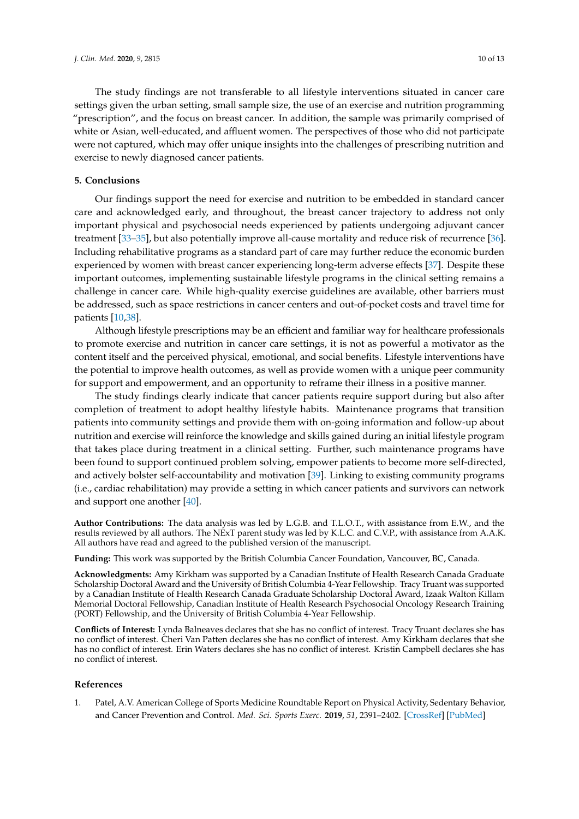The study findings are not transferable to all lifestyle interventions situated in cancer care settings given the urban setting, small sample size, the use of an exercise and nutrition programming "prescription", and the focus on breast cancer. In addition, the sample was primarily comprised of white or Asian, well-educated, and affluent women. The perspectives of those who did not participate were not captured, which may offer unique insights into the challenges of prescribing nutrition and exercise to newly diagnosed cancer patients.

## **5. Conclusions**

Our findings support the need for exercise and nutrition to be embedded in standard cancer care and acknowledged early, and throughout, the breast cancer trajectory to address not only important physical and psychosocial needs experienced by patients undergoing adjuvant cancer treatment [\[33–](#page-11-13)[35\]](#page-11-14), but also potentially improve all-cause mortality and reduce risk of recurrence [\[36\]](#page-11-15). Including rehabilitative programs as a standard part of care may further reduce the economic burden experienced by women with breast cancer experiencing long-term adverse effects [\[37\]](#page-11-16). Despite these important outcomes, implementing sustainable lifestyle programs in the clinical setting remains a challenge in cancer care. While high-quality exercise guidelines are available, other barriers must be addressed, such as space restrictions in cancer centers and out-of-pocket costs and travel time for patients [\[10,](#page-10-6)[38\]](#page-11-17).

Although lifestyle prescriptions may be an efficient and familiar way for healthcare professionals to promote exercise and nutrition in cancer care settings, it is not as powerful a motivator as the content itself and the perceived physical, emotional, and social benefits. Lifestyle interventions have the potential to improve health outcomes, as well as provide women with a unique peer community for support and empowerment, and an opportunity to reframe their illness in a positive manner.

The study findings clearly indicate that cancer patients require support during but also after completion of treatment to adopt healthy lifestyle habits. Maintenance programs that transition patients into community settings and provide them with on-going information and follow-up about nutrition and exercise will reinforce the knowledge and skills gained during an initial lifestyle program that takes place during treatment in a clinical setting. Further, such maintenance programs have been found to support continued problem solving, empower patients to become more self-directed, and actively bolster self-accountability and motivation [\[39\]](#page-12-0). Linking to existing community programs (i.e., cardiac rehabilitation) may provide a setting in which cancer patients and survivors can network and support one another [\[40\]](#page-12-1).

**Author Contributions:** The data analysis was led by L.G.B. and T.L.O.T., with assistance from E.W., and the results reviewed by all authors. The NExT parent study was led by K.L.C. and C.V.P., with assistance from A.A.K. All authors have read and agreed to the published version of the manuscript.

**Funding:** This work was supported by the British Columbia Cancer Foundation, Vancouver, BC, Canada.

**Acknowledgments:** Amy Kirkham was supported by a Canadian Institute of Health Research Canada Graduate Scholarship Doctoral Award and the University of British Columbia 4-Year Fellowship. Tracy Truant was supported by a Canadian Institute of Health Research Canada Graduate Scholarship Doctoral Award, Izaak Walton Killam Memorial Doctoral Fellowship, Canadian Institute of Health Research Psychosocial Oncology Research Training (PORT) Fellowship, and the University of British Columbia 4-Year Fellowship.

**Conflicts of Interest:** Lynda Balneaves declares that she has no conflict of interest. Tracy Truant declares she has no conflict of interest. Cheri Van Patten declares she has no conflict of interest. Amy Kirkham declares that she has no conflict of interest. Erin Waters declares she has no conflict of interest. Kristin Campbell declares she has no conflict of interest.

#### **References**

<span id="page-9-0"></span>1. Patel, A.V. American College of Sports Medicine Roundtable Report on Physical Activity, Sedentary Behavior, and Cancer Prevention and Control. *Med. Sci. Sports Exerc.* **2019**, *51*, 2391–2402. [\[CrossRef\]](http://dx.doi.org/10.1249/MSS.0000000000002117) [\[PubMed\]](http://www.ncbi.nlm.nih.gov/pubmed/31626056)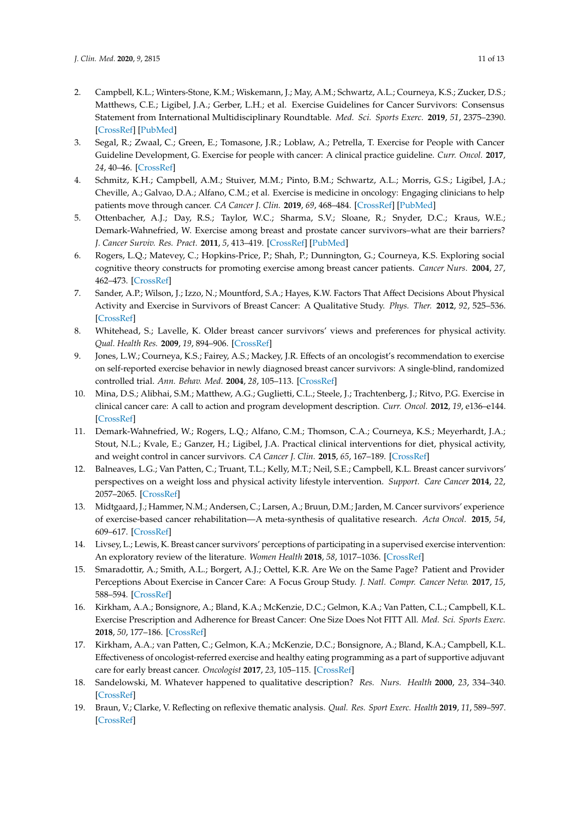- <span id="page-10-0"></span>2. Campbell, K.L.; Winters-Stone, K.M.; Wiskemann, J.; May, A.M.; Schwartz, A.L.; Courneya, K.S.; Zucker, D.S.; Matthews, C.E.; Ligibel, J.A.; Gerber, L.H.; et al. Exercise Guidelines for Cancer Survivors: Consensus Statement from International Multidisciplinary Roundtable. *Med. Sci. Sports Exerc.* **2019**, *51*, 2375–2390. [\[CrossRef\]](http://dx.doi.org/10.1249/MSS.0000000000002116) [\[PubMed\]](http://www.ncbi.nlm.nih.gov/pubmed/31626055)
- <span id="page-10-1"></span>3. Segal, R.; Zwaal, C.; Green, E.; Tomasone, J.R.; Loblaw, A.; Petrella, T. Exercise for People with Cancer Guideline Development, G. Exercise for people with cancer: A clinical practice guideline. *Curr. Oncol.* **2017**, *24*, 40–46. [\[CrossRef\]](http://dx.doi.org/10.3747/co.24.3376)
- <span id="page-10-2"></span>4. Schmitz, K.H.; Campbell, A.M.; Stuiver, M.M.; Pinto, B.M.; Schwartz, A.L.; Morris, G.S.; Ligibel, J.A.; Cheville, A.; Galvao, D.A.; Alfano, C.M.; et al. Exercise is medicine in oncology: Engaging clinicians to help patients move through cancer. *CA Cancer J. Clin.* **2019**, *69*, 468–484. [\[CrossRef\]](http://dx.doi.org/10.3322/caac.21579) [\[PubMed\]](http://www.ncbi.nlm.nih.gov/pubmed/31617590)
- <span id="page-10-3"></span>5. Ottenbacher, A.J.; Day, R.S.; Taylor, W.C.; Sharma, S.V.; Sloane, R.; Snyder, D.C.; Kraus, W.E.; Demark-Wahnefried, W. Exercise among breast and prostate cancer survivors–what are their barriers? *J. Cancer Surviv. Res. Pract.* **2011**, *5*, 413–419. [\[CrossRef\]](http://dx.doi.org/10.1007/s11764-011-0184-8) [\[PubMed\]](http://www.ncbi.nlm.nih.gov/pubmed/21598023)
- 6. Rogers, L.Q.; Matevey, C.; Hopkins-Price, P.; Shah, P.; Dunnington, G.; Courneya, K.S. Exploring social cognitive theory constructs for promoting exercise among breast cancer patients. *Cancer Nurs.* **2004**, *27*, 462–473. [\[CrossRef\]](http://dx.doi.org/10.1097/00002820-200411000-00006)
- 7. Sander, A.P.; Wilson, J.; Izzo, N.; Mountford, S.A.; Hayes, K.W. Factors That Affect Decisions About Physical Activity and Exercise in Survivors of Breast Cancer: A Qualitative Study. *Phys. Ther.* **2012**, *92*, 525–536. [\[CrossRef\]](http://dx.doi.org/10.2522/ptj.20110115)
- <span id="page-10-4"></span>8. Whitehead, S.; Lavelle, K. Older breast cancer survivors' views and preferences for physical activity. *Qual. Health Res.* **2009**, *19*, 894–906. [\[CrossRef\]](http://dx.doi.org/10.1177/1049732309337523)
- <span id="page-10-5"></span>9. Jones, L.W.; Courneya, K.S.; Fairey, A.S.; Mackey, J.R. Effects of an oncologist's recommendation to exercise on self-reported exercise behavior in newly diagnosed breast cancer survivors: A single-blind, randomized controlled trial. *Ann. Behav. Med.* **2004**, *28*, 105–113. [\[CrossRef\]](http://dx.doi.org/10.1207/s15324796abm2802_5)
- <span id="page-10-6"></span>10. Mina, D.S.; Alibhai, S.M.; Matthew, A.G.; Guglietti, C.L.; Steele, J.; Trachtenberg, J.; Ritvo, P.G. Exercise in clinical cancer care: A call to action and program development description. *Curr. Oncol.* **2012**, *19*, e136–e144. [\[CrossRef\]](http://dx.doi.org/10.3747/co.19.912)
- <span id="page-10-7"></span>11. Demark-Wahnefried, W.; Rogers, L.Q.; Alfano, C.M.; Thomson, C.A.; Courneya, K.S.; Meyerhardt, J.A.; Stout, N.L.; Kvale, E.; Ganzer, H.; Ligibel, J.A. Practical clinical interventions for diet, physical activity, and weight control in cancer survivors. *CA Cancer J. Clin.* **2015**, *65*, 167–189. [\[CrossRef\]](http://dx.doi.org/10.3322/caac.21265)
- 12. Balneaves, L.G.; Van Patten, C.; Truant, T.L.; Kelly, M.T.; Neil, S.E.; Campbell, K.L. Breast cancer survivors' perspectives on a weight loss and physical activity lifestyle intervention. *Support. Care Cancer* **2014**, *22*, 2057–2065. [\[CrossRef\]](http://dx.doi.org/10.1007/s00520-014-2185-4)
- 13. Midtgaard, J.; Hammer, N.M.; Andersen, C.; Larsen, A.; Bruun, D.M.; Jarden, M. Cancer survivors' experience of exercise-based cancer rehabilitation—A meta-synthesis of qualitative research. *Acta Oncol.* **2015**, *54*, 609–617. [\[CrossRef\]](http://dx.doi.org/10.3109/0284186X.2014.995777)
- <span id="page-10-8"></span>14. Livsey, L.; Lewis, K. Breast cancer survivors' perceptions of participating in a supervised exercise intervention: An exploratory review of the literature. *Women Health* **2018**, *58*, 1017–1036. [\[CrossRef\]](http://dx.doi.org/10.1080/03630242.2017.1372844)
- <span id="page-10-9"></span>15. Smaradottir, A.; Smith, A.L.; Borgert, A.J.; Oettel, K.R. Are We on the Same Page? Patient and Provider Perceptions About Exercise in Cancer Care: A Focus Group Study. *J. Natl. Compr. Cancer Netw.* **2017**, *15*, 588–594. [\[CrossRef\]](http://dx.doi.org/10.6004/jnccn.2017.0061)
- <span id="page-10-10"></span>16. Kirkham, A.A.; Bonsignore, A.; Bland, K.A.; McKenzie, D.C.; Gelmon, K.A.; Van Patten, C.L.; Campbell, K.L. Exercise Prescription and Adherence for Breast Cancer: One Size Does Not FITT All. *Med. Sci. Sports Exerc.* **2018**, *50*, 177–186. [\[CrossRef\]](http://dx.doi.org/10.1249/MSS.0000000000001446)
- <span id="page-10-11"></span>17. Kirkham, A.A.; van Patten, C.; Gelmon, K.A.; McKenzie, D.C.; Bonsignore, A.; Bland, K.A.; Campbell, K.L. Effectiveness of oncologist-referred exercise and healthy eating programming as a part of supportive adjuvant care for early breast cancer. *Oncologist* **2017**, *23*, 105–115. [\[CrossRef\]](http://dx.doi.org/10.1634/theoncologist.2017-0141)
- <span id="page-10-12"></span>18. Sandelowski, M. Whatever happened to qualitative description? *Res. Nurs. Health* **2000**, *23*, 334–340. [\[CrossRef\]](http://dx.doi.org/10.1002/1098-240X(200008)23:4<334::AID-NUR9>3.0.CO;2-G)
- <span id="page-10-13"></span>19. Braun, V.; Clarke, V. Reflecting on reflexive thematic analysis. *Qual. Res. Sport Exerc. Health* **2019**, *11*, 589–597. [\[CrossRef\]](http://dx.doi.org/10.1080/2159676X.2019.1628806)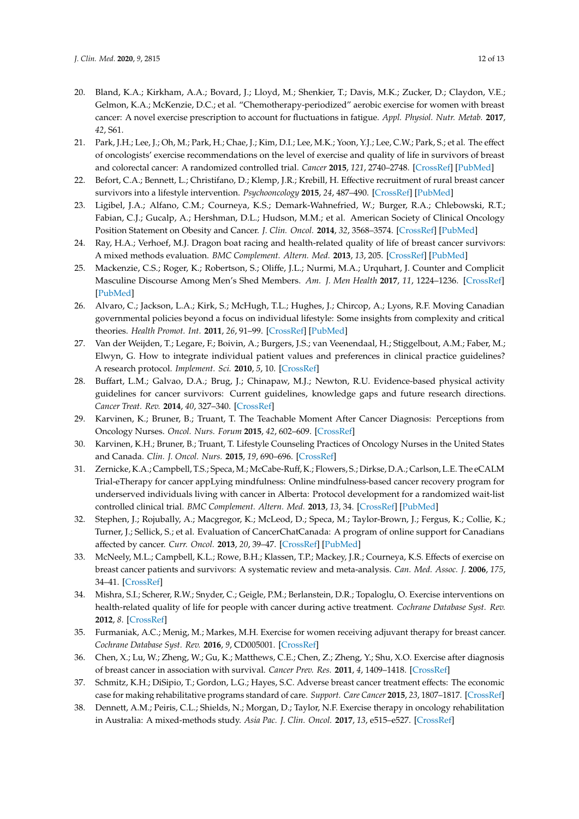- <span id="page-11-0"></span>20. Bland, K.A.; Kirkham, A.A.; Bovard, J.; Lloyd, M.; Shenkier, T.; Davis, M.K.; Zucker, D.; Claydon, V.E.; Gelmon, K.A.; McKenzie, D.C.; et al. "Chemotherapy-periodized" aerobic exercise for women with breast cancer: A novel exercise prescription to account for fluctuations in fatigue. *Appl. Physiol. Nutr. Metab.* **2017**, *42*, S61.
- <span id="page-11-1"></span>21. Park, J.H.; Lee, J.; Oh, M.; Park, H.; Chae, J.; Kim, D.I.; Lee, M.K.; Yoon, Y.J.; Lee, C.W.; Park, S.; et al. The effect of oncologists' exercise recommendations on the level of exercise and quality of life in survivors of breast and colorectal cancer: A randomized controlled trial. *Cancer* **2015**, *121*, 2740–2748. [\[CrossRef\]](http://dx.doi.org/10.1002/cncr.29400) [\[PubMed\]](http://www.ncbi.nlm.nih.gov/pubmed/25965782)
- <span id="page-11-2"></span>22. Befort, C.A.; Bennett, L.; Christifano, D.; Klemp, J.R.; Krebill, H. Effective recruitment of rural breast cancer survivors into a lifestyle intervention. *Psychooncology* **2015**, *24*, 487–490. [\[CrossRef\]](http://dx.doi.org/10.1002/pon.3614) [\[PubMed\]](http://www.ncbi.nlm.nih.gov/pubmed/24953687)
- <span id="page-11-3"></span>23. Ligibel, J.A.; Alfano, C.M.; Courneya, K.S.; Demark-Wahnefried, W.; Burger, R.A.; Chlebowski, R.T.; Fabian, C.J.; Gucalp, A.; Hershman, D.L.; Hudson, M.M.; et al. American Society of Clinical Oncology Position Statement on Obesity and Cancer. *J. Clin. Oncol.* **2014**, *32*, 3568–3574. [\[CrossRef\]](http://dx.doi.org/10.1200/JCO.2014.58.4680) [\[PubMed\]](http://www.ncbi.nlm.nih.gov/pubmed/25273035)
- <span id="page-11-4"></span>24. Ray, H.A.; Verhoef, M.J. Dragon boat racing and health-related quality of life of breast cancer survivors: A mixed methods evaluation. *BMC Complement. Altern. Med.* **2013**, *13*, 205. [\[CrossRef\]](http://dx.doi.org/10.1186/1472-6882-13-205) [\[PubMed\]](http://www.ncbi.nlm.nih.gov/pubmed/23915045)
- <span id="page-11-5"></span>25. Mackenzie, C.S.; Roger, K.; Robertson, S.; Oliffe, J.L.; Nurmi, M.A.; Urquhart, J. Counter and Complicit Masculine Discourse Among Men's Shed Members. *Am. J. Men Health* **2017**, *11*, 1224–1236. [\[CrossRef\]](http://dx.doi.org/10.1177/1557988316685618) [\[PubMed\]](http://www.ncbi.nlm.nih.gov/pubmed/28068851)
- <span id="page-11-6"></span>26. Alvaro, C.; Jackson, L.A.; Kirk, S.; McHugh, T.L.; Hughes, J.; Chircop, A.; Lyons, R.F. Moving Canadian governmental policies beyond a focus on individual lifestyle: Some insights from complexity and critical theories. *Health Promot. Int.* **2011**, *26*, 91–99. [\[CrossRef\]](http://dx.doi.org/10.1093/heapro/daq052) [\[PubMed\]](http://www.ncbi.nlm.nih.gov/pubmed/20709791)
- <span id="page-11-7"></span>27. Van der Weijden, T.; Legare, F.; Boivin, A.; Burgers, J.S.; van Veenendaal, H.; Stiggelbout, A.M.; Faber, M.; Elwyn, G. How to integrate individual patient values and preferences in clinical practice guidelines? A research protocol. *Implement. Sci.* **2010**, *5*, 10. [\[CrossRef\]](http://dx.doi.org/10.1186/1748-5908-5-10)
- <span id="page-11-8"></span>28. Buffart, L.M.; Galvao, D.A.; Brug, J.; Chinapaw, M.J.; Newton, R.U. Evidence-based physical activity guidelines for cancer survivors: Current guidelines, knowledge gaps and future research directions. *Cancer Treat. Rev.* **2014**, *40*, 327–340. [\[CrossRef\]](http://dx.doi.org/10.1016/j.ctrv.2013.06.007)
- <span id="page-11-9"></span>29. Karvinen, K.; Bruner, B.; Truant, T. The Teachable Moment After Cancer Diagnosis: Perceptions from Oncology Nurses. *Oncol. Nurs. Forum* **2015**, *42*, 602–609. [\[CrossRef\]](http://dx.doi.org/10.1188/15.ONF.602-609)
- <span id="page-11-10"></span>30. Karvinen, K.H.; Bruner, B.; Truant, T. Lifestyle Counseling Practices of Oncology Nurses in the United States and Canada. *Clin. J. Oncol. Nurs.* **2015**, *19*, 690–696. [\[CrossRef\]](http://dx.doi.org/10.1188/15.CJON.690-696)
- <span id="page-11-11"></span>31. Zernicke, K.A.; Campbell, T.S.; Speca, M.; McCabe-Ruff, K.; Flowers, S.; Dirkse, D.A.; Carlson, L.E. The eCALM Trial-eTherapy for cancer appLying mindfulness: Online mindfulness-based cancer recovery program for underserved individuals living with cancer in Alberta: Protocol development for a randomized wait-list controlled clinical trial. *BMC Complement. Altern. Med.* **2013**, *13*, 34. [\[CrossRef\]](http://dx.doi.org/10.1186/1472-6882-13-34) [\[PubMed\]](http://www.ncbi.nlm.nih.gov/pubmed/23414206)
- <span id="page-11-12"></span>32. Stephen, J.; Rojubally, A.; Macgregor, K.; McLeod, D.; Speca, M.; Taylor-Brown, J.; Fergus, K.; Collie, K.; Turner, J.; Sellick, S.; et al. Evaluation of CancerChatCanada: A program of online support for Canadians affected by cancer. *Curr. Oncol.* **2013**, *20*, 39–47. [\[CrossRef\]](http://dx.doi.org/10.3747/co.20.1210) [\[PubMed\]](http://www.ncbi.nlm.nih.gov/pubmed/23443892)
- <span id="page-11-13"></span>33. McNeely, M.L.; Campbell, K.L.; Rowe, B.H.; Klassen, T.P.; Mackey, J.R.; Courneya, K.S. Effects of exercise on breast cancer patients and survivors: A systematic review and meta-analysis. *Can. Med. Assoc. J.* **2006**, *175*, 34–41. [\[CrossRef\]](http://dx.doi.org/10.1503/cmaj.051073)
- 34. Mishra, S.I.; Scherer, R.W.; Snyder, C.; Geigle, P.M.; Berlanstein, D.R.; Topaloglu, O. Exercise interventions on health-related quality of life for people with cancer during active treatment. *Cochrane Database Syst. Rev.* **2012**, *8*. [\[CrossRef\]](http://dx.doi.org/10.1002/14651858.CD008465.pub2)
- <span id="page-11-14"></span>35. Furmaniak, A.C.; Menig, M.; Markes, M.H. Exercise for women receiving adjuvant therapy for breast cancer. *Cochrane Database Syst. Rev.* **2016**, *9*, CD005001. [\[CrossRef\]](http://dx.doi.org/10.1002/14651858.CD005001.pub3)
- <span id="page-11-15"></span>36. Chen, X.; Lu, W.; Zheng, W.; Gu, K.; Matthews, C.E.; Chen, Z.; Zheng, Y.; Shu, X.O. Exercise after diagnosis of breast cancer in association with survival. *Cancer Prev. Res.* **2011**, *4*, 1409–1418. [\[CrossRef\]](http://dx.doi.org/10.1158/1940-6207.CAPR-10-0355)
- <span id="page-11-16"></span>37. Schmitz, K.H.; DiSipio, T.; Gordon, L.G.; Hayes, S.C. Adverse breast cancer treatment effects: The economic case for making rehabilitative programs standard of care. *Support. Care Cancer* **2015**, *23*, 1807–1817. [\[CrossRef\]](http://dx.doi.org/10.1007/s00520-014-2539-y)
- <span id="page-11-17"></span>38. Dennett, A.M.; Peiris, C.L.; Shields, N.; Morgan, D.; Taylor, N.F. Exercise therapy in oncology rehabilitation in Australia: A mixed-methods study. *Asia Pac. J. Clin. Oncol.* **2017**, *13*, e515–e527. [\[CrossRef\]](http://dx.doi.org/10.1111/ajco.12642)